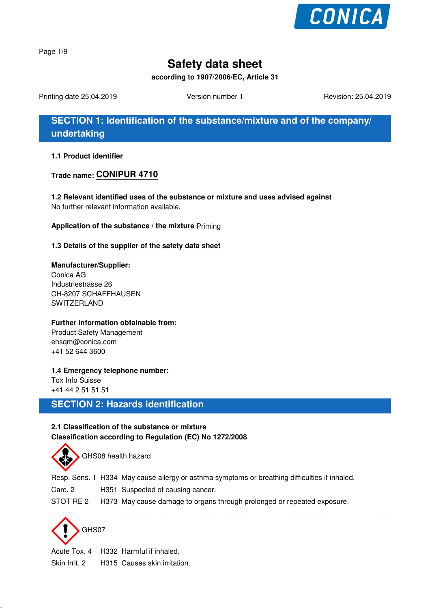

Page 1/9

# **Safety data sheet**

**according to 1907/2006/EC, Article 31**

Printing date 25.04.2019 **Version number 1** Revision: 25.04.2019 **Revision: 25.04.2019** 

**SECTION 1: Identification of the substance/mixture and of the company/ undertaking**

**1.1 Product identifier**

**Trade name: CONIPUR 4710**

**1.2 Relevant identified uses of the substance or mixture and uses advised against** No further relevant information available.

**Application of the substance / the mixture** Priming

**1.3 Details of the supplier of the safety data sheet**

#### **Manufacturer/Supplier:**

Conica AG Industriestrasse 26 CH-8207 SCHAFFHAUSEN SWITZERLAND

#### **Further information obtainable from:**

Product Safety Management ehsqm@conica.com +41 52 644 3600

**1.4 Emergency telephone number:** Tox Info Suisse

+41 44 2 51 51 51

### **SECTION 2: Hazards identification**

#### **2.1 Classification of the substance or mixture Classification according to Regulation (EC) No 1272/2008**

GHS08 health hazard Resp. Sens. 1 H334 May cause allergy or asthma symptoms or breathing difficulties if inhaled. Carc. 2 H351 Suspected of causing cancer. STOT RE 2 H373 May cause damage to organs through prolonged or repeated exposure.

GHS07

Acute Tox. 4 H332 Harmful if inhaled. Skin Irrit. 2 H315 Causes skin irritation.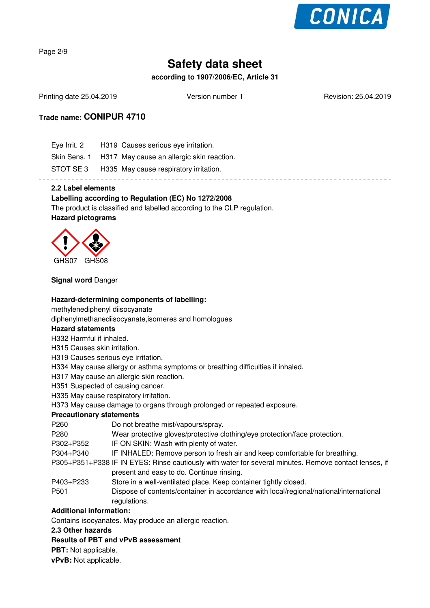

Page 2/9

# **Safety data sheet**

**according to 1907/2006/EC, Article 31**

Printing date 25.04.2019 **Version number 1** Revision: 25.04.2019 **Revision: 25.04.2019** 

### **Trade name: CONIPUR 4710**

| Eye Irrit. 2 H319 Causes serious eye irritation.       |
|--------------------------------------------------------|
| Skin Sens. 1 H317 May cause an allergic skin reaction. |
| STOT SE 3 H335 May cause respiratory irritation.       |
|                                                        |

#### **2.2 Label elements**

#### **Labelling according to Regulation (EC) No 1272/2008**

The product is classified and labelled according to the CLP regulation. **Hazard pictograms**



#### **Signal word** Danger

#### **Hazard-determining components of labelling:**

methylenediphenyl diisocyanate

diphenylmethanediisocyanate,isomeres and homologues

#### **Hazard statements**

H332 Harmful if inhaled.

H315 Causes skin irritation.

H319 Causes serious eye irritation.

H334 May cause allergy or asthma symptoms or breathing difficulties if inhaled.

H317 May cause an allergic skin reaction.

H351 Suspected of causing cancer.

H335 May cause respiratory irritation.

H373 May cause damage to organs through prolonged or repeated exposure.

#### **Precautionary statements**

| P <sub>260</sub>                                                                                      | Do not breathe mist/vapours/spray.                                                     |  |
|-------------------------------------------------------------------------------------------------------|----------------------------------------------------------------------------------------|--|
| P280                                                                                                  | Wear protective gloves/protective clothing/eye protection/face protection.             |  |
| P302+P352                                                                                             | IF ON SKIN: Wash with plenty of water.                                                 |  |
| P304+P340                                                                                             | IF INHALED: Remove person to fresh air and keep comfortable for breathing.             |  |
| P305+P351+P338 IF IN EYES: Rinse cautiously with water for several minutes. Remove contact lenses, if |                                                                                        |  |
|                                                                                                       | present and easy to do. Continue rinsing.                                              |  |
| P403+P233                                                                                             | Store in a well-ventilated place. Keep container tightly closed.                       |  |
| P <sub>501</sub>                                                                                      | Dispose of contents/container in accordance with local/regional/national/international |  |

regulations.

#### **Additional information:**

Contains isocyanates. May produce an allergic reaction.

#### **2.3 Other hazards**

#### **Results of PBT and vPvB assessment**

**PBT:** Not applicable.

**vPvB:** Not applicable.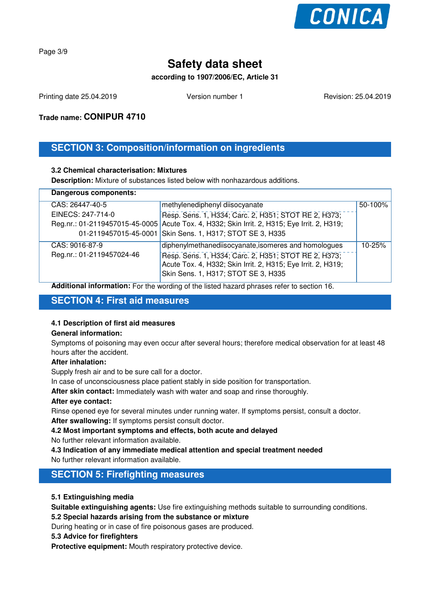

Page 3/9

# **Safety data sheet**

#### **according to 1907/2006/EC, Article 31**

Printing date 25.04.2019 **Version number 1** Revision: 25.04.2019 **Revision: 25.04.2019** 

**Trade name: CONIPUR 4710**

# **SECTION 3: Composition/information on ingredients**

#### **3.2 Chemical characterisation: Mixtures**

**Description:** Mixture of substances listed below with nonhazardous additions.

| Dangerous components:     |                                                                                                                                                             |         |  |  |
|---------------------------|-------------------------------------------------------------------------------------------------------------------------------------------------------------|---------|--|--|
| CAS: 26447-40-5           | methylenediphenyl diisocyanate                                                                                                                              | 50-100% |  |  |
| EINECS: 247-714-0         | Resp. Sens. 1, H334; Carc. 2, H351; STOT RE 2, H373;                                                                                                        |         |  |  |
|                           | Reg.nr.: 01-2119457015-45-0005 Acute Tox. 4, H332; Skin Irrit. 2, H315; Eye Irrit. 2, H319;                                                                 |         |  |  |
|                           | 01-2119457015-45-0001 Skin Sens. 1, H317; STOT SE 3, H335                                                                                                   |         |  |  |
| CAS: 9016-87-9            | diphenylmethanediisocyanate, isomeres and homologues                                                                                                        | 10-25%  |  |  |
| Reg.nr.: 01-2119457024-46 | Resp. Sens. 1, H334; Carc. 2, H351; STOT RE 2, H373;<br>Acute Tox. 4, H332; Skin Irrit. 2, H315; Eye Irrit. 2, H319;<br>Skin Sens. 1, H317; STOT SE 3, H335 |         |  |  |

**Additional information:** For the wording of the listed hazard phrases refer to section 16.

### **SECTION 4: First aid measures**

#### **4.1 Description of first aid measures**

#### **General information:**

Symptoms of poisoning may even occur after several hours; therefore medical observation for at least 48 hours after the accident.

#### **After inhalation:**

Supply fresh air and to be sure call for a doctor.

In case of unconsciousness place patient stably in side position for transportation.

**After skin contact:** Immediately wash with water and soap and rinse thoroughly.

#### **After eye contact:**

Rinse opened eye for several minutes under running water. If symptoms persist, consult a doctor.

**After swallowing:** If symptoms persist consult doctor.

**4.2 Most important symptoms and effects, both acute and delayed**

No further relevant information available.

**4.3 Indication of any immediate medical attention and special treatment needed** No further relevant information available.

## **SECTION 5: Firefighting measures**

#### **5.1 Extinguishing media**

**Suitable extinguishing agents:** Use fire extinguishing methods suitable to surrounding conditions.

**5.2 Special hazards arising from the substance or mixture**

During heating or in case of fire poisonous gases are produced.

#### **5.3 Advice for firefighters**

**Protective equipment:** Mouth respiratory protective device.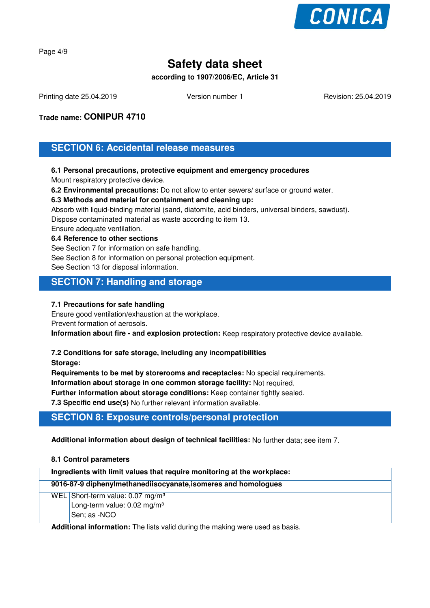

Page 4/9

# **Safety data sheet**

**according to 1907/2006/EC, Article 31**

Printing date 25.04.2019 **Version number 1** Revision: 25.04.2019 **Revision: 25.04.2019** 

**Trade name: CONIPUR 4710**

**SECTION 6: Accidental release measures**

#### **6.1 Personal precautions, protective equipment and emergency procedures**

Mount respiratory protective device.

**6.2 Environmental precautions:** Do not allow to enter sewers/ surface or ground water.

**6.3 Methods and material for containment and cleaning up:**

Absorb with liquid-binding material (sand, diatomite, acid binders, universal binders, sawdust).

Dispose contaminated material as waste according to item 13.

Ensure adequate ventilation.

**6.4 Reference to other sections**

See Section 7 for information on safe handling.

See Section 8 for information on personal protection equipment.

See Section 13 for disposal information.

### **SECTION 7: Handling and storage**

#### **7.1 Precautions for safe handling**

Ensure good ventilation/exhaustion at the workplace. Prevent formation of aerosols.

**Information about fire - and explosion protection:** Keep respiratory protective device available.

#### **7.2 Conditions for safe storage, including any incompatibilities**

**Storage:**

**Requirements to be met by storerooms and receptacles:** No special requirements.

**Information about storage in one common storage facility:** Not required.

**Further information about storage conditions:** Keep container tightly sealed.

**7.3 Specific end use(s)** No further relevant information available.

## **SECTION 8: Exposure controls/personal protection**

**Additional information about design of technical facilities:** No further data; see item 7.

#### **8.1 Control parameters**

| Ingredients with limit values that require monitoring at the workplace: |                                             |  |
|-------------------------------------------------------------------------|---------------------------------------------|--|
| 9016-87-9 diphenylmethanediisocyanate, isomeres and homologues          |                                             |  |
|                                                                         | WEL Short-term value: $0.07 \text{ mg/m}^3$ |  |
|                                                                         | Long-term value: 0.02 mg/m <sup>3</sup>     |  |
|                                                                         | Sen; as -NCO                                |  |

**Additional information:** The lists valid during the making were used as basis.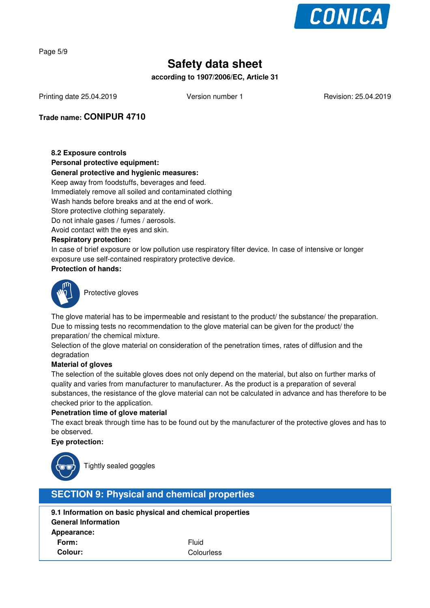

Page 5/9

# **Safety data sheet**

**according to 1907/2006/EC, Article 31**

Printing date 25.04.2019 **Version number 1** Revision: 25.04.2019 **Revision: 25.04.2019** 

**Trade name: CONIPUR 4710**

#### **8.2 Exposure controls**

**Personal protective equipment:**

#### **General protective and hygienic measures:**

Keep away from foodstuffs, beverages and feed. Immediately remove all soiled and contaminated clothing Wash hands before breaks and at the end of work. Store protective clothing separately. Do not inhale gases / fumes / aerosols.

Avoid contact with the eyes and skin.

#### **Respiratory protection:**

In case of brief exposure or low pollution use respiratory filter device. In case of intensive or longer exposure use self-contained respiratory protective device.

#### **Protection of hands:**



Protective gloves

The glove material has to be impermeable and resistant to the product/ the substance/ the preparation. Due to missing tests no recommendation to the glove material can be given for the product/ the preparation/ the chemical mixture.

Selection of the glove material on consideration of the penetration times, rates of diffusion and the degradation

#### **Material of gloves**

The selection of the suitable gloves does not only depend on the material, but also on further marks of quality and varies from manufacturer to manufacturer. As the product is a preparation of several substances, the resistance of the glove material can not be calculated in advance and has therefore to be checked prior to the application.

#### **Penetration time of glove material**

The exact break through time has to be found out by the manufacturer of the protective gloves and has to be observed.

#### **Eye protection:**



Tightly sealed goggles

## **SECTION 9: Physical and chemical properties**

| 9.1 Information on basic physical and chemical properties |              |  |  |  |
|-----------------------------------------------------------|--------------|--|--|--|
| <b>General Information</b>                                |              |  |  |  |
| Appearance:                                               |              |  |  |  |
| Form:                                                     | <b>Fluid</b> |  |  |  |
| Colour:                                                   | Colourless   |  |  |  |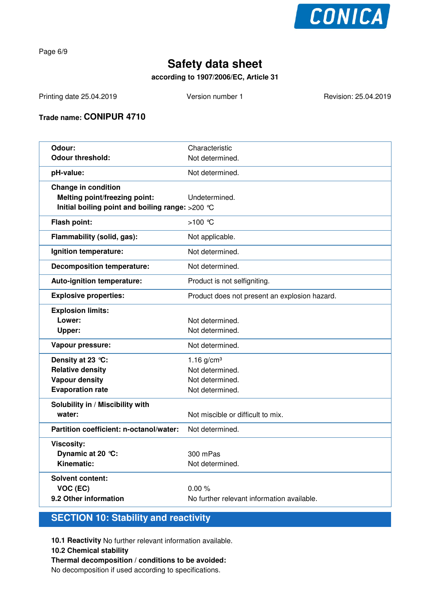

Page 6/9

# **Safety data sheet**

### **according to 1907/2006/EC, Article 31**

Printing date 25.04.2019 Version number 1 Revision: 25.04.2019

### **Trade name: CONIPUR 4710**

| Odour:                                           | Characteristic                                |
|--------------------------------------------------|-----------------------------------------------|
| <b>Odour threshold:</b>                          | Not determined.                               |
| pH-value:                                        | Not determined.                               |
| <b>Change in condition</b>                       |                                               |
| Melting point/freezing point:                    | Undetermined.                                 |
| Initial boiling point and boiling range: >200 °C |                                               |
| Flash point:                                     | $>100$ °C                                     |
| Flammability (solid, gas):                       | Not applicable.                               |
| Ignition temperature:                            | Not determined.                               |
| <b>Decomposition temperature:</b>                | Not determined.                               |
| Auto-ignition temperature:                       | Product is not selfigniting.                  |
| <b>Explosive properties:</b>                     | Product does not present an explosion hazard. |
| <b>Explosion limits:</b>                         |                                               |
| Lower:                                           | Not determined.                               |
| Upper:                                           | Not determined.                               |
| Vapour pressure:                                 | Not determined.                               |
| Density at 23 °C:                                | 1.16 $g/cm^{3}$                               |
| <b>Relative density</b>                          | Not determined.                               |
| <b>Vapour density</b>                            | Not determined.                               |
| <b>Evaporation rate</b>                          | Not determined.                               |
| Solubility in / Miscibility with                 |                                               |
| water:                                           | Not miscible or difficult to mix.             |
| Partition coefficient: n-octanol/water:          | Not determined.                               |
| <b>Viscosity:</b>                                |                                               |
| Dynamic at 20 °C:                                | 300 mPas                                      |
| Kinematic:                                       | Not determined.                               |
| <b>Solvent content:</b>                          |                                               |
| VOC (EC)                                         | 0.00%                                         |
| 9.2 Other information                            | No further relevant information available.    |

# **SECTION 10: Stability and reactivity**

**10.1 Reactivity** No further relevant information available.

#### **10.2 Chemical stability**

#### **Thermal decomposition / conditions to be avoided:**

No decomposition if used according to specifications.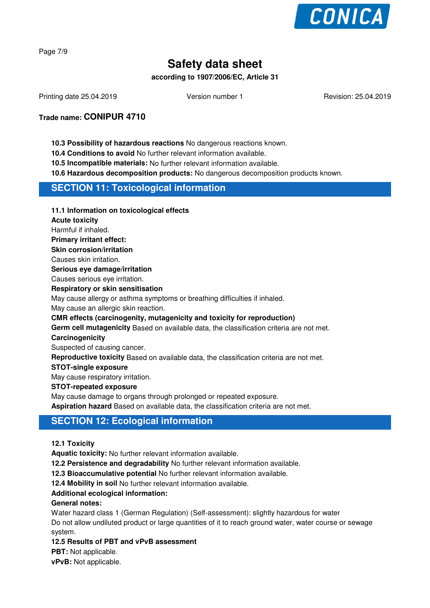

Page 7/9

# **Safety data sheet**

#### **according to 1907/2006/EC, Article 31**

Printing date 25.04.2019 **Version number 1** Revision: 25.04.2019 **Revision: 25.04.2019** 

**Trade name: CONIPUR 4710**

#### **10.3 Possibility of hazardous reactions** No dangerous reactions known.

**10.4 Conditions to avoid** No further relevant information available.

**10.5 Incompatible materials:** No further relevant information available.

**10.6 Hazardous decomposition products:** No dangerous decomposition products known.

### **SECTION 11: Toxicological information**

**11.1 Information on toxicological effects**

**Acute toxicity**

Harmful if inhaled.

**Primary irritant effect:**

**Skin corrosion/irritation**

Causes skin irritation.

**Serious eye damage/irritation**

Causes serious eye irritation.

**Respiratory or skin sensitisation**

May cause allergy or asthma symptoms or breathing difficulties if inhaled.

May cause an allergic skin reaction.

**CMR effects (carcinogenity, mutagenicity and toxicity for reproduction)**

**Germ cell mutagenicity** Based on available data, the classification criteria are not met.

#### **Carcinogenicity**

Suspected of causing cancer.

**Reproductive toxicity** Based on available data, the classification criteria are not met.

#### **STOT-single exposure**

May cause respiratory irritation.

#### **STOT-repeated exposure**

May cause damage to organs through prolonged or repeated exposure.

**Aspiration hazard** Based on available data, the classification criteria are not met.

### **SECTION 12: Ecological information**

**12.1 Toxicity**

**Aquatic toxicity:** No further relevant information available.

**12.2 Persistence and degradability** No further relevant information available.

**12.3 Bioaccumulative potential** No further relevant information available.

**12.4 Mobility in soil** No further relevant information available.

#### **Additional ecological information:**

#### **General notes:**

Water hazard class 1 (German Regulation) (Self-assessment): slightly hazardous for water Do not allow undiluted product or large quantities of it to reach ground water, water course or sewage system.

**12.5 Results of PBT and vPvB assessment**

**PBT:** Not applicable.

**vPvB:** Not applicable.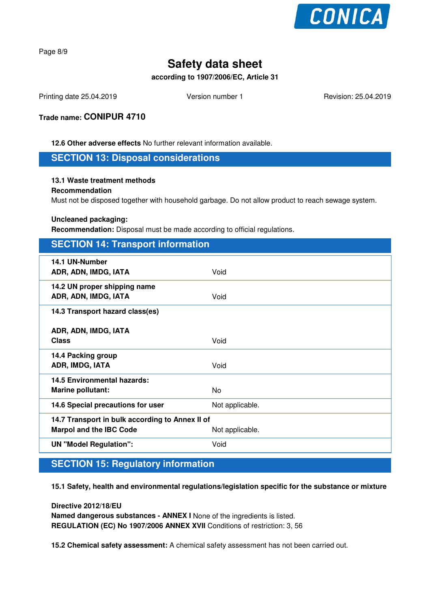

Page 8/9

# **Safety data sheet**

**according to 1907/2006/EC, Article 31**

Printing date 25.04.2019 **Version number 1** Revision: 25.04.2019 **Revision: 25.04.2019** 

**Trade name: CONIPUR 4710**

**12.6 Other adverse effects** No further relevant information available.

**SECTION 13: Disposal considerations**

#### **13.1 Waste treatment methods**

#### **Recommendation**

Must not be disposed together with household garbage. Do not allow product to reach sewage system.

#### **Uncleaned packaging:**

**Recommendation:** Disposal must be made according to official regulations.

### **SECTION 14: Transport information**

| 14.1 UN-Number<br>ADR, ADN, IMDG, IATA               | Void            |  |
|------------------------------------------------------|-----------------|--|
| 14.2 UN proper shipping name<br>ADR, ADN, IMDG, IATA | Void            |  |
| 14.3 Transport hazard class(es)                      |                 |  |
| ADR, ADN, IMDG, IATA                                 |                 |  |
| <b>Class</b>                                         | Void            |  |
| 14.4 Packing group                                   |                 |  |
| ADR, IMDG, IATA                                      | Void            |  |
| 14.5 Environmental hazards:                          |                 |  |
| <b>Marine pollutant:</b>                             | No.             |  |
| 14.6 Special precautions for user                    | Not applicable. |  |
| 14.7 Transport in bulk according to Annex II of      |                 |  |
| <b>Marpol and the IBC Code</b>                       | Not applicable. |  |
| <b>UN "Model Regulation":</b>                        | Void            |  |

# **SECTION 15: Regulatory information**

**15.1 Safety, health and environmental regulations/legislation specific for the substance or mixture**

**Directive 2012/18/EU Named dangerous substances - ANNEX I** None of the ingredients is listed. **REGULATION (EC) No 1907/2006 ANNEX XVII** Conditions of restriction: 3, 56

**15.2 Chemical safety assessment:** A chemical safety assessment has not been carried out.